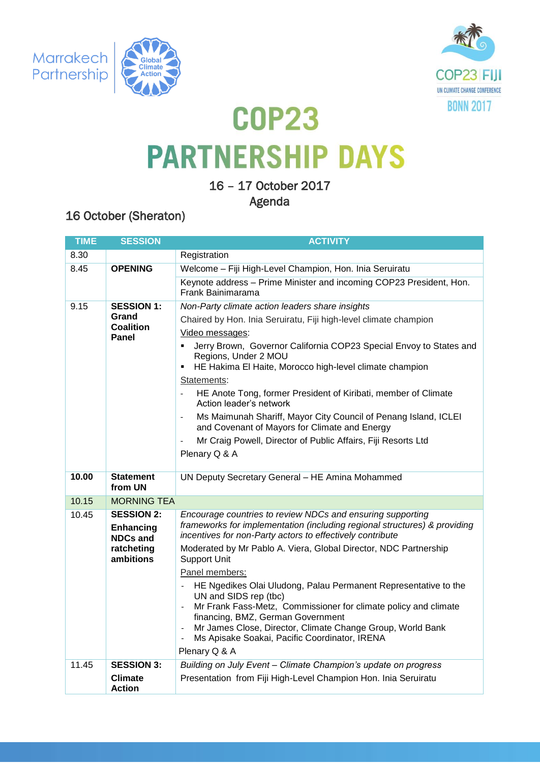





## **COP23 PARTNERSHIP DAYS**

16 – 17 October 2017

Agenda

## 16 October (Sheraton)

| <b>TIME</b>                                                       | <b>SESSION</b>                     | <b>ACTIVITY</b>                                                                                                                                                                                      |  |  |
|-------------------------------------------------------------------|------------------------------------|------------------------------------------------------------------------------------------------------------------------------------------------------------------------------------------------------|--|--|
| 8.30                                                              |                                    | Registration                                                                                                                                                                                         |  |  |
| 8.45                                                              | <b>OPENING</b>                     | Welcome - Fiji High-Level Champion, Hon. Inia Seruiratu                                                                                                                                              |  |  |
|                                                                   |                                    | Keynote address - Prime Minister and incoming COP23 President, Hon.<br>Frank Bainimarama                                                                                                             |  |  |
| 9.15<br><b>SESSION 1:</b>                                         |                                    | Non-Party climate action leaders share insights                                                                                                                                                      |  |  |
|                                                                   | Grand<br><b>Coalition</b><br>Panel | Chaired by Hon. Inia Seruiratu, Fiji high-level climate champion                                                                                                                                     |  |  |
|                                                                   |                                    | Video messages:                                                                                                                                                                                      |  |  |
|                                                                   |                                    | Jerry Brown, Governor California COP23 Special Envoy to States and<br>$\blacksquare$<br>Regions, Under 2 MOU<br>HE Hakima El Haite, Morocco high-level climate champion                              |  |  |
|                                                                   |                                    | Statements:                                                                                                                                                                                          |  |  |
|                                                                   |                                    | HE Anote Tong, former President of Kiribati, member of Climate<br>Action leader's network                                                                                                            |  |  |
|                                                                   |                                    | Ms Maimunah Shariff, Mayor City Council of Penang Island, ICLEI<br>and Covenant of Mayors for Climate and Energy                                                                                     |  |  |
|                                                                   |                                    | Mr Craig Powell, Director of Public Affairs, Fiji Resorts Ltd                                                                                                                                        |  |  |
|                                                                   |                                    | Plenary Q & A                                                                                                                                                                                        |  |  |
| 10.00                                                             | <b>Statement</b>                   | UN Deputy Secretary General - HE Amina Mohammed                                                                                                                                                      |  |  |
|                                                                   | from UN                            |                                                                                                                                                                                                      |  |  |
| 10.15                                                             | <b>MORNING TEA</b>                 |                                                                                                                                                                                                      |  |  |
| 10.45<br><b>SESSION 2:</b><br><b>Enhancing</b><br><b>NDCs and</b> |                                    | Encourage countries to review NDCs and ensuring supporting<br>frameworks for implementation (including regional structures) & providing<br>incentives for non-Party actors to effectively contribute |  |  |
|                                                                   | ratcheting<br>ambitions            | Moderated by Mr Pablo A. Viera, Global Director, NDC Partnership<br><b>Support Unit</b>                                                                                                              |  |  |
|                                                                   |                                    | Panel members:                                                                                                                                                                                       |  |  |
|                                                                   |                                    | HE Ngedikes Olai Uludong, Palau Permanent Representative to the<br>UN and SIDS rep (tbc)                                                                                                             |  |  |
|                                                                   |                                    | Mr Frank Fass-Metz, Commissioner for climate policy and climate<br>financing, BMZ, German Government                                                                                                 |  |  |
|                                                                   |                                    | Mr James Close, Director, Climate Change Group, World Bank<br>Ms Apisake Soakai, Pacific Coordinator, IRENA                                                                                          |  |  |
|                                                                   |                                    | Plenary Q & A                                                                                                                                                                                        |  |  |
| 11.45                                                             | <b>SESSION 3:</b>                  | Building on July Event - Climate Champion's update on progress                                                                                                                                       |  |  |
|                                                                   | Climate<br><b>Action</b>           | Presentation from Fiji High-Level Champion Hon. Inia Seruiratu                                                                                                                                       |  |  |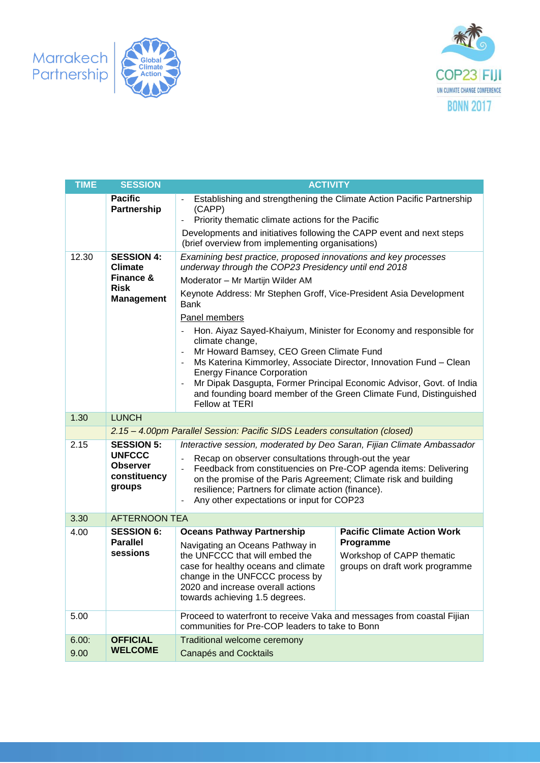



| <b>TIME</b>                          | <b>SESSION</b>                                                                       | <b>ACTIVITY</b>                                                                                                                                                                                                                                                                                                                                                                                                                                                                                                                                                                                                                                                                                                     |                                                                                                                |  |  |
|--------------------------------------|--------------------------------------------------------------------------------------|---------------------------------------------------------------------------------------------------------------------------------------------------------------------------------------------------------------------------------------------------------------------------------------------------------------------------------------------------------------------------------------------------------------------------------------------------------------------------------------------------------------------------------------------------------------------------------------------------------------------------------------------------------------------------------------------------------------------|----------------------------------------------------------------------------------------------------------------|--|--|
| <b>Pacific</b><br><b>Partnership</b> |                                                                                      | Establishing and strengthening the Climate Action Pacific Partnership<br>(CAPP)<br>Priority thematic climate actions for the Pacific<br>Developments and initiatives following the CAPP event and next steps                                                                                                                                                                                                                                                                                                                                                                                                                                                                                                        |                                                                                                                |  |  |
| 12.30                                | <b>SESSION 4:</b><br><b>Climate</b><br>Finance &<br><b>Risk</b><br><b>Management</b> | (brief overview from implementing organisations)<br>Examining best practice, proposed innovations and key processes<br>underway through the COP23 Presidency until end 2018<br>Moderator - Mr Martijn Wilder AM<br>Keynote Address: Mr Stephen Groff, Vice-President Asia Development<br><b>Bank</b><br>Panel members<br>Hon. Aiyaz Sayed-Khaiyum, Minister for Economy and responsible for<br>climate change,<br>Mr Howard Bamsey, CEO Green Climate Fund<br>Ms Katerina Kimmorley, Associate Director, Innovation Fund - Clean<br><b>Energy Finance Corporation</b><br>Mr Dipak Dasgupta, Former Principal Economic Advisor, Govt. of India<br>and founding board member of the Green Climate Fund, Distinguished |                                                                                                                |  |  |
| 1.30                                 | <b>LUNCH</b>                                                                         | Fellow at TERI                                                                                                                                                                                                                                                                                                                                                                                                                                                                                                                                                                                                                                                                                                      |                                                                                                                |  |  |
|                                      |                                                                                      | 2.15 - 4.00pm Parallel Session: Pacific SIDS Leaders consultation (closed)                                                                                                                                                                                                                                                                                                                                                                                                                                                                                                                                                                                                                                          |                                                                                                                |  |  |
| 2.15                                 | <b>SESSION 5:</b><br><b>UNFCCC</b><br><b>Observer</b><br>constituency<br>groups      | Interactive session, moderated by Deo Saran, Fijian Climate Ambassador<br>Recap on observer consultations through-out the year<br>Feedback from constituencies on Pre-COP agenda items: Delivering<br>on the promise of the Paris Agreement; Climate risk and building<br>resilience; Partners for climate action (finance).<br>Any other expectations or input for COP23<br>$\overline{\phantom{a}}$                                                                                                                                                                                                                                                                                                               |                                                                                                                |  |  |
| 3.30                                 | <b>AFTERNOON TEA</b>                                                                 |                                                                                                                                                                                                                                                                                                                                                                                                                                                                                                                                                                                                                                                                                                                     |                                                                                                                |  |  |
| 4.00                                 | <b>SESSION 6:</b><br><b>Parallel</b><br>sessions                                     | <b>Oceans Pathway Partnership</b><br>Navigating an Oceans Pathway in<br>the UNFCCC that will embed the<br>case for healthy oceans and climate<br>change in the UNFCCC process by<br>2020 and increase overall actions.<br>towards achieving 1.5 degrees.                                                                                                                                                                                                                                                                                                                                                                                                                                                            | <b>Pacific Climate Action Work</b><br>Programme<br>Workshop of CAPP thematic<br>groups on draft work programme |  |  |
| 5.00                                 |                                                                                      | Proceed to waterfront to receive Vaka and messages from coastal Fijian<br>communities for Pre-COP leaders to take to Bonn                                                                                                                                                                                                                                                                                                                                                                                                                                                                                                                                                                                           |                                                                                                                |  |  |
| 6.00:<br>9.00                        | <b>OFFICIAL</b><br><b>WELCOME</b>                                                    | Traditional welcome ceremony<br><b>Canapés and Cocktails</b>                                                                                                                                                                                                                                                                                                                                                                                                                                                                                                                                                                                                                                                        |                                                                                                                |  |  |